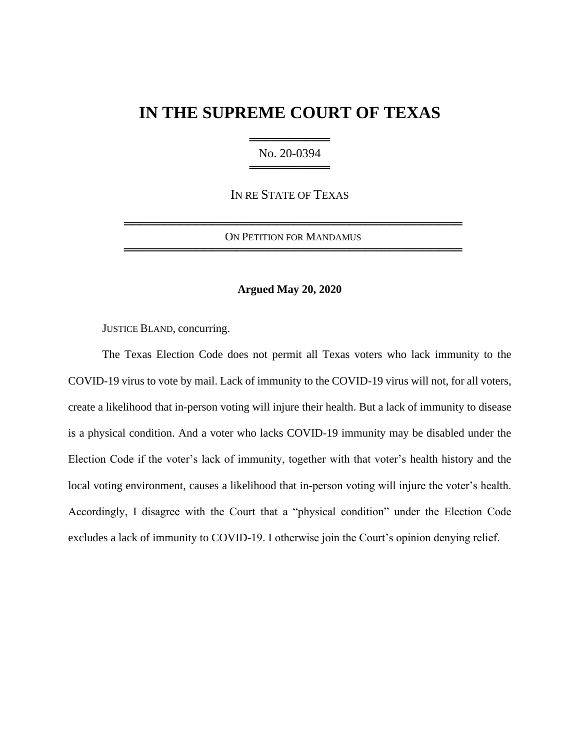# **IN THE SUPREME COURT OF TEXAS**

═══════════════════ No. 20-0394 ════════════════════

IN RE STATE OF TEXAS

══════════════════════════════════════════ ON PETITION FOR MANDAMUS ══════════════════════════════════════════

## **Argued May 20, 2020**

JUSTICE BLAND, concurring.

The Texas Election Code does not permit all Texas voters who lack immunity to the COVID-19 virus to vote by mail. Lack of immunity to the COVID-19 virus will not, for all voters, create a likelihood that in-person voting will injure their health. But a lack of immunity to disease is a physical condition. And a voter who lacks COVID-19 immunity may be disabled under the Election Code if the voter's lack of immunity, together with that voter's health history and the local voting environment, causes a likelihood that in-person voting will injure the voter's health. Accordingly, I disagree with the Court that a "physical condition" under the Election Code excludes a lack of immunity to COVID-19. I otherwise join the Court's opinion denying relief.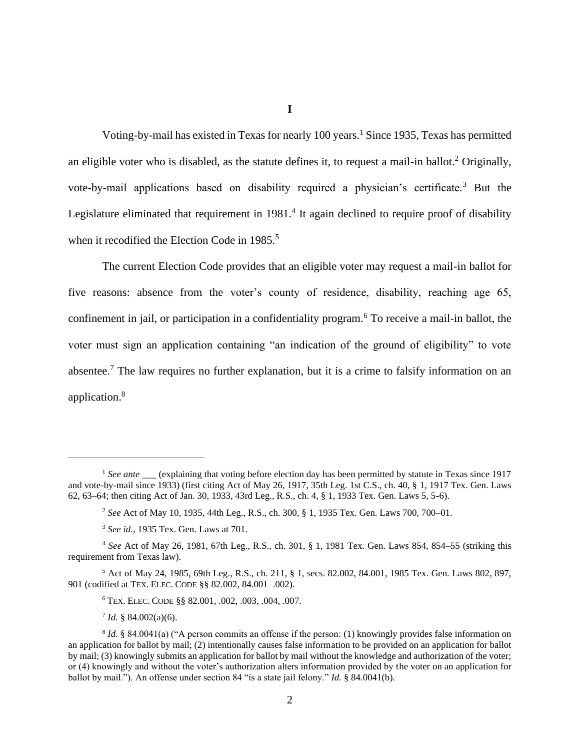**I**

Voting-by-mail has existed in Texas for nearly 100 years.<sup>1</sup> Since 1935, Texas has permitted an eligible voter who is disabled, as the statute defines it, to request a mail-in ballot.<sup>2</sup> Originally, vote-by-mail applications based on disability required a physician's certificate.<sup>3</sup> But the Legislature eliminated that requirement in 1981.<sup>4</sup> It again declined to require proof of disability when it recodified the Election Code in 1985.<sup>5</sup>

The current Election Code provides that an eligible voter may request a mail-in ballot for five reasons: absence from the voter's county of residence, disability, reaching age 65, confinement in jail, or participation in a confidentiality program.<sup>6</sup> To receive a mail-in ballot, the voter must sign an application containing "an indication of the ground of eligibility" to vote absentee.<sup>7</sup> The law requires no further explanation, but it is a crime to falsify information on an application.<sup>8</sup>

<sup>&</sup>lt;sup>1</sup> See ante \_\_\_\_\_ (explaining that voting before election day has been permitted by statute in Texas since 1917 and vote-by-mail since 1933) (first citing Act of May 26, 1917, 35th Leg. 1st C.S., ch. 40, § 1, 1917 Tex. Gen. Laws 62, 63–64; then citing Act of Jan. 30, 1933, 43rd Leg., R.S., ch. 4, § 1, 1933 Tex. Gen. Laws 5, 5-6).

<sup>2</sup> *See* Act of May 10, 1935, 44th Leg., R.S., ch. 300, § 1, 1935 Tex. Gen. Laws 700, 700–01.

<sup>3</sup> *See id.*, 1935 Tex. Gen. Laws at 701.

<sup>4</sup> *See* Act of May 26, 1981, 67th Leg., R.S., ch. 301, § 1, 1981 Tex. Gen. Laws 854, 854–55 (striking this requirement from Texas law).

<sup>5</sup> Act of May 24, 1985, 69th Leg., R.S., ch. 211, § 1, secs. 82.002, 84.001, 1985 Tex. Gen. Laws 802, 897, 901 (codified at TEX. ELEC. CODE §§ 82.002, 84.001–.002).

<sup>6</sup> TEX. ELEC. CODE §§ 82.001, .002, .003, .004, .007.

<sup>7</sup> *Id.* § 84.002(a)(6).

<sup>&</sup>lt;sup>8</sup> *Id.* § 84.0041(a) ("A person commits an offense if the person: (1) knowingly provides false information on an application for ballot by mail; (2) intentionally causes false information to be provided on an application for ballot by mail; (3) knowingly submits an application for ballot by mail without the knowledge and authorization of the voter; or (4) knowingly and without the voter's authorization alters information provided by the voter on an application for ballot by mail."). An offense under section 84 "is a state jail felony." *Id.* § 84.0041(b).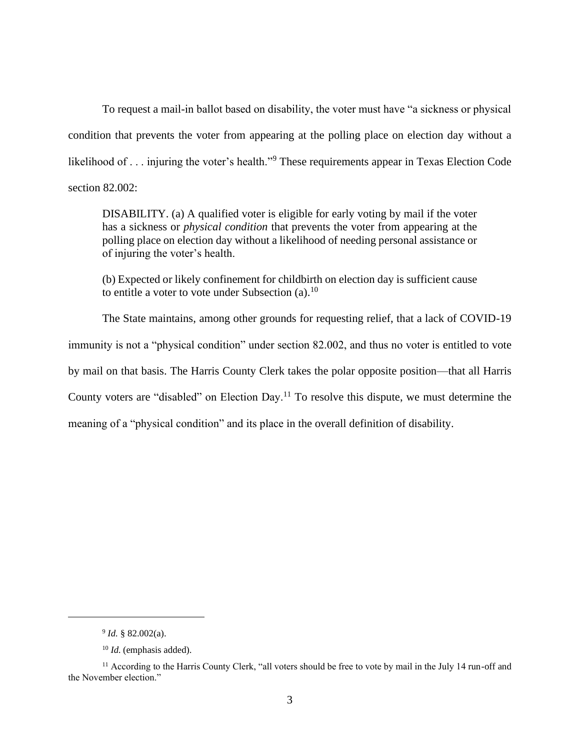To request a mail-in ballot based on disability, the voter must have "a sickness or physical condition that prevents the voter from appearing at the polling place on election day without a likelihood of . . . injuring the voter's health."<sup>9</sup> These requirements appear in Texas Election Code section 82.002:

DISABILITY. (a) A qualified voter is eligible for early voting by mail if the voter has a sickness or *physical condition* that prevents the voter from appearing at the polling place on election day without a likelihood of needing personal assistance or of injuring the voter's health.

(b) Expected or likely confinement for childbirth on election day is sufficient cause to entitle a voter to vote under Subsection  $(a)$ .<sup>10</sup>

The State maintains, among other grounds for requesting relief, that a lack of COVID-19 immunity is not a "physical condition" under section 82.002, and thus no voter is entitled to vote by mail on that basis. The Harris County Clerk takes the polar opposite position—that all Harris County voters are "disabled" on Election Day.<sup>11</sup> To resolve this dispute, we must determine the meaning of a "physical condition" and its place in the overall definition of disability.

<sup>9</sup> *Id.* § 82.002(a).

<sup>10</sup> *Id.* (emphasis added).

<sup>&</sup>lt;sup>11</sup> According to the Harris County Clerk, "all voters should be free to vote by mail in the July 14 run-off and the November election."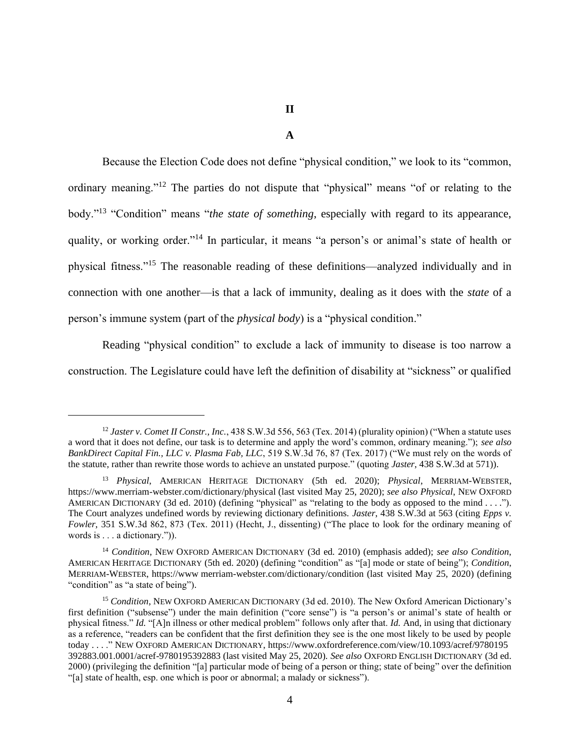#### **A**

Because the Election Code does not define "physical condition," we look to its "common, ordinary meaning."<sup>12</sup> The parties do not dispute that "physical" means "of or relating to the body."<sup>13</sup> "Condition" means "*the state of something*, especially with regard to its appearance, quality, or working order."<sup>14</sup> In particular, it means "a person's or animal's state of health or physical fitness."<sup>15</sup> The reasonable reading of these definitions—analyzed individually and in connection with one another—is that a lack of immunity, dealing as it does with the *state* of a person's immune system (part of the *physical body*) is a "physical condition."

Reading "physical condition" to exclude a lack of immunity to disease is too narrow a construction. The Legislature could have left the definition of disability at "sickness" or qualified

<sup>&</sup>lt;sup>12</sup> *Jaster v. Comet II Constr., Inc.*, 438 S.W.3d 556, 563 (Tex. 2014) (plurality opinion) ("When a statute uses a word that it does not define, our task is to determine and apply the word's common, ordinary meaning."); *see also BankDirect Capital Fin., LLC v. Plasma Fab, LLC*, 519 S.W.3d 76, 87 (Tex. 2017) ("We must rely on the words of the statute, rather than rewrite those words to achieve an unstated purpose." (quoting *Jaster*, 438 S.W.3d at 571)).

<sup>13</sup> *Physical*, AMERICAN HERITAGE DICTIONARY (5th ed. 2020); *Physical*, MERRIAM-WEBSTER, https://www.merriam-webster.com/dictionary/physical (last visited May 25, 2020); *see also Physical*, NEW OXFORD AMERICAN DICTIONARY (3d ed. 2010) (defining "physical" as "relating to the body as opposed to the mind . . . ."). The Court analyzes undefined words by reviewing dictionary definitions. *Jaster*, 438 S.W.3d at 563 (citing *Epps v. Fowler*, 351 S.W.3d 862, 873 (Tex. 2011) (Hecht, J., dissenting) ("The place to look for the ordinary meaning of words is . . . a dictionary.")).

<sup>14</sup> *Condition*, NEW OXFORD AMERICAN DICTIONARY (3d ed. 2010) (emphasis added); *see also Condition*, AMERICAN HERITAGE DICTIONARY (5th ed. 2020) (defining "condition" as "[a] mode or state of being"); *Condition*, MERRIAM-WEBSTER, https://www merriam-webster.com/dictionary/condition (last visited May 25, 2020) (defining "condition" as "a state of being").

<sup>15</sup> *Condition*, NEW OXFORD AMERICAN DICTIONARY (3d ed. 2010). The New Oxford American Dictionary's first definition ("subsense") under the main definition ("core sense") is "a person's or animal's state of health or physical fitness." *Id.* "[A]n illness or other medical problem" follows only after that. *Id.* And, in using that dictionary as a reference, "readers can be confident that the first definition they see is the one most likely to be used by people today . . . ." NEW OXFORD AMERICAN DICTIONARY, https://www.oxfordreference.com/view/10.1093/acref/9780195 392883.001.0001/acref-9780195392883 (last visited May 25, 2020). *See also* OXFORD ENGLISH DICTIONARY (3d ed. 2000) (privileging the definition "[a] particular mode of being of a person or thing; state of being" over the definition "[a] state of health, esp. one which is poor or abnormal; a malady or sickness").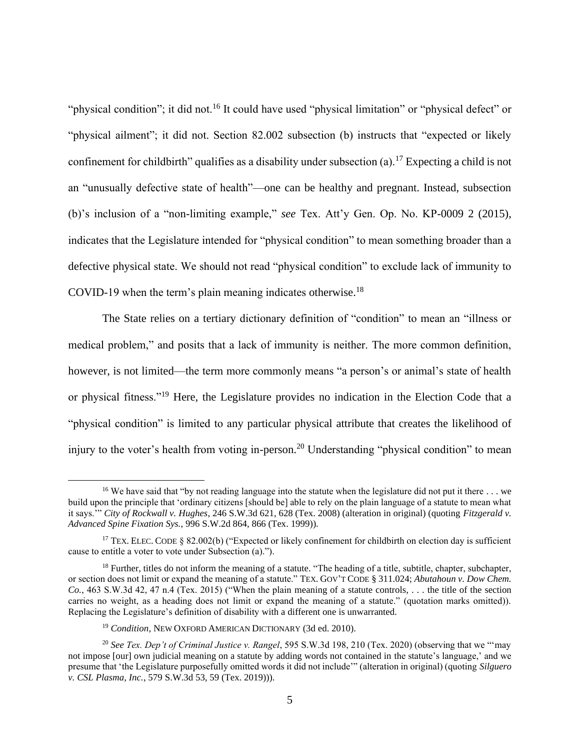"physical condition"; it did not.<sup>16</sup> It could have used "physical limitation" or "physical defect" or "physical ailment"; it did not. Section 82.002 subsection (b) instructs that "expected or likely confinement for childbirth" qualifies as a disability under subsection (a).<sup>17</sup> Expecting a child is not an "unusually defective state of health"—one can be healthy and pregnant. Instead, subsection (b)'s inclusion of a "non-limiting example," *see* Tex. Att'y Gen. Op. No. KP-0009 2 (2015), indicates that the Legislature intended for "physical condition" to mean something broader than a defective physical state. We should not read "physical condition" to exclude lack of immunity to COVID-19 when the term's plain meaning indicates otherwise. $^{18}$ 

The State relies on a tertiary dictionary definition of "condition" to mean an "illness or medical problem," and posits that a lack of immunity is neither. The more common definition, however, is not limited—the term more commonly means "a person's or animal's state of health or physical fitness."<sup>19</sup> Here, the Legislature provides no indication in the Election Code that a "physical condition" is limited to any particular physical attribute that creates the likelihood of injury to the voter's health from voting in-person.<sup>20</sup> Understanding "physical condition" to mean

<sup>&</sup>lt;sup>16</sup> We have said that "by not reading language into the statute when the legislature did not put it there  $\dots$  we build upon the principle that 'ordinary citizens [should be] able to rely on the plain language of a statute to mean what it says.'" *City of Rockwall v. Hughes*, 246 S.W.3d 621, 628 (Tex. 2008) (alteration in original) (quoting *Fitzgerald v. Advanced Spine Fixation Sys.*, 996 S.W.2d 864, 866 (Tex. 1999)).

<sup>&</sup>lt;sup>17</sup> TEX. ELEC. CODE § 82.002(b) ("Expected or likely confinement for childbirth on election day is sufficient cause to entitle a voter to vote under Subsection (a).").

 $18$  Further, titles do not inform the meaning of a statute. "The heading of a title, subtitle, chapter, subchapter, or section does not limit or expand the meaning of a statute." TEX. GOV'T CODE § 311.024; *Abutahoun v. Dow Chem. Co.*, 463 S.W.3d 42, 47 n.4 (Tex. 2015) ("When the plain meaning of a statute controls, . . . the title of the section carries no weight, as a heading does not limit or expand the meaning of a statute." (quotation marks omitted)). Replacing the Legislature's definition of disability with a different one is unwarranted.

<sup>19</sup> *Condition*, NEW OXFORD AMERICAN DICTIONARY (3d ed. 2010).

<sup>20</sup> *See Tex. Dep't of Criminal Justice v. Rangel*, 595 S.W.3d 198, 210 (Tex. 2020) (observing that we "'may not impose [our] own judicial meaning on a statute by adding words not contained in the statute's language,' and we presume that 'the Legislature purposefully omitted words it did not include'" (alteration in original) (quoting *Silguero v. CSL Plasma, Inc.*, 579 S.W.3d 53, 59 (Tex. 2019))).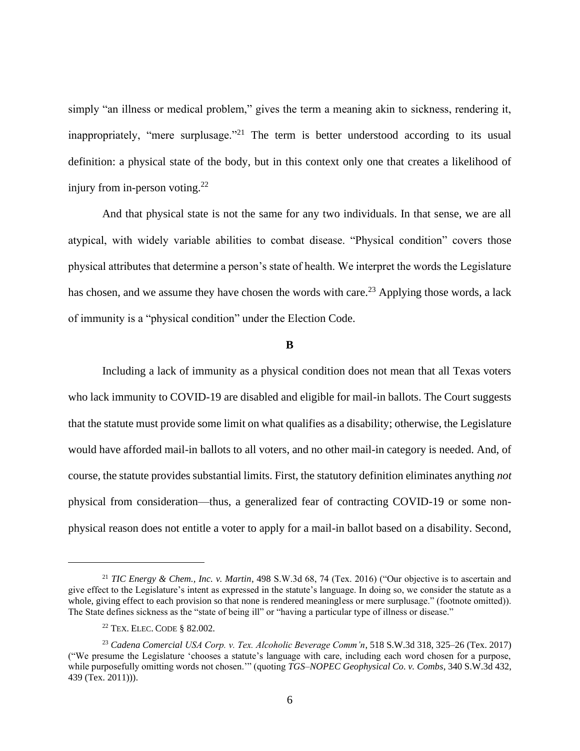simply "an illness or medical problem," gives the term a meaning akin to sickness, rendering it, inappropriately, "mere surplusage."<sup>21</sup> The term is better understood according to its usual definition: a physical state of the body, but in this context only one that creates a likelihood of injury from in-person voting. $^{22}$ 

And that physical state is not the same for any two individuals. In that sense, we are all atypical, with widely variable abilities to combat disease. "Physical condition" covers those physical attributes that determine a person's state of health. We interpret the words the Legislature has chosen, and we assume they have chosen the words with care.<sup>23</sup> Applying those words, a lack of immunity is a "physical condition" under the Election Code.

### **B**

Including a lack of immunity as a physical condition does not mean that all Texas voters who lack immunity to COVID-19 are disabled and eligible for mail-in ballots. The Court suggests that the statute must provide some limit on what qualifies as a disability; otherwise, the Legislature would have afforded mail-in ballots to all voters, and no other mail-in category is needed. And, of course, the statute provides substantial limits. First, the statutory definition eliminates anything *not* physical from consideration—thus, a generalized fear of contracting COVID-19 or some nonphysical reason does not entitle a voter to apply for a mail-in ballot based on a disability. Second,

<sup>21</sup> *TIC Energy & Chem., Inc. v. Martin*, 498 S.W.3d 68, 74 (Tex. 2016) ("Our objective is to ascertain and give effect to the Legislature's intent as expressed in the statute's language. In doing so, we consider the statute as a whole, giving effect to each provision so that none is rendered meaningless or mere surplusage." (footnote omitted)). The State defines sickness as the "state of being ill" or "having a particular type of illness or disease."

<sup>22</sup> TEX. ELEC. CODE § 82.002.

<sup>23</sup> *Cadena Comercial USA Corp. v. Tex. Alcoholic Beverage Comm'n*, 518 S.W.3d 318, 325–26 (Tex. 2017) ("We presume the Legislature 'chooses a statute's language with care, including each word chosen for a purpose, while purposefully omitting words not chosen.'" (quoting *TGS–NOPEC Geophysical Co. v. Combs*, 340 S.W.3d 432, 439 (Tex. 2011))).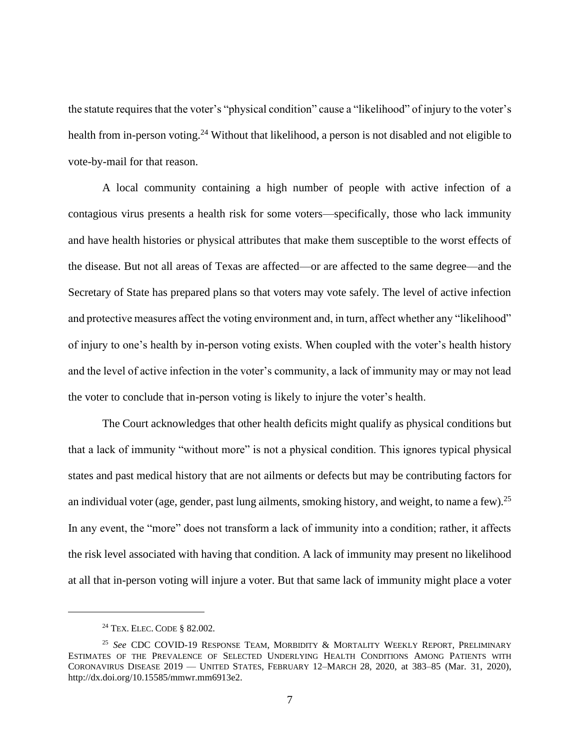the statute requires that the voter's "physical condition" cause a "likelihood" of injury to the voter's health from in-person voting.<sup>24</sup> Without that likelihood, a person is not disabled and not eligible to vote-by-mail for that reason.

A local community containing a high number of people with active infection of a contagious virus presents a health risk for some voters—specifically, those who lack immunity and have health histories or physical attributes that make them susceptible to the worst effects of the disease. But not all areas of Texas are affected—or are affected to the same degree—and the Secretary of State has prepared plans so that voters may vote safely. The level of active infection and protective measures affect the voting environment and, in turn, affect whether any "likelihood" of injury to one's health by in-person voting exists. When coupled with the voter's health history and the level of active infection in the voter's community, a lack of immunity may or may not lead the voter to conclude that in-person voting is likely to injure the voter's health.

The Court acknowledges that other health deficits might qualify as physical conditions but that a lack of immunity "without more" is not a physical condition. This ignores typical physical states and past medical history that are not ailments or defects but may be contributing factors for an individual voter (age, gender, past lung ailments, smoking history, and weight, to name a few). <sup>25</sup> In any event, the "more" does not transform a lack of immunity into a condition; rather, it affects the risk level associated with having that condition. A lack of immunity may present no likelihood at all that in-person voting will injure a voter. But that same lack of immunity might place a voter

<sup>24</sup> TEX. ELEC. CODE § 82.002.

<sup>25</sup> *See* CDC COVID-19 RESPONSE TEAM, MORBIDITY & MORTALITY WEEKLY REPORT, PRELIMINARY ESTIMATES OF THE PREVALENCE OF SELECTED UNDERLYING HEALTH CONDITIONS AMONG PATIENTS WITH CORONAVIRUS DISEASE 2019 — UNITED STATES, FEBRUARY 12–MARCH 28, 2020, at 383–85 (Mar. 31, 2020), http://dx.doi.org/10.15585/mmwr.mm6913e2.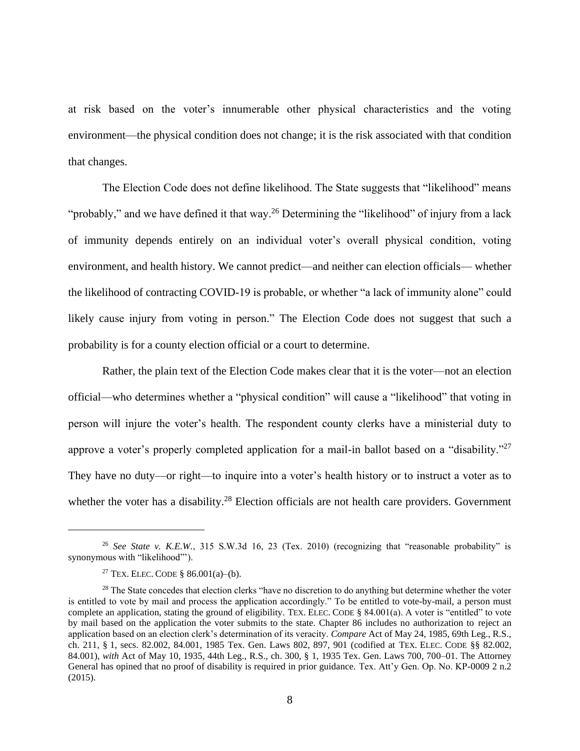at risk based on the voter's innumerable other physical characteristics and the voting environment—the physical condition does not change; it is the risk associated with that condition that changes.

The Election Code does not define likelihood. The State suggests that "likelihood" means "probably," and we have defined it that way.<sup>26</sup> Determining the "likelihood" of injury from a lack of immunity depends entirely on an individual voter's overall physical condition, voting environment, and health history. We cannot predict—and neither can election officials— whether the likelihood of contracting COVID-19 is probable, or whether "a lack of immunity alone" could likely cause injury from voting in person." The Election Code does not suggest that such a probability is for a county election official or a court to determine.

Rather, the plain text of the Election Code makes clear that it is the voter—not an election official—who determines whether a "physical condition" will cause a "likelihood" that voting in person will injure the voter's health. The respondent county clerks have a ministerial duty to approve a voter's properly completed application for a mail-in ballot based on a "disability."<sup>27</sup> They have no duty—or right—to inquire into a voter's health history or to instruct a voter as to whether the voter has a disability.<sup>28</sup> Election officials are not health care providers. Government

<sup>26</sup> *See State v. K.E.W.*, 315 S.W.3d 16, 23 (Tex. 2010) (recognizing that "reasonable probability" is synonymous with "likelihood"').

<sup>&</sup>lt;sup>27</sup> TEX. ELEC. CODE § 86.001(a)–(b).

<sup>&</sup>lt;sup>28</sup> The State concedes that election clerks "have no discretion to do anything but determine whether the voter is entitled to vote by mail and process the application accordingly." To be entitled to vote-by-mail, a person must complete an application, stating the ground of eligibility. TEX. ELEC. CODE § 84.001(a). A voter is "entitled" to vote by mail based on the application the voter submits to the state. Chapter 86 includes no authorization to reject an application based on an election clerk's determination of its veracity. *Compare* Act of May 24, 1985, 69th Leg., R.S., ch. 211, § 1, secs. 82.002, 84.001, 1985 Tex. Gen. Laws 802, 897, 901 (codified at TEX. ELEC. CODE §§ 82.002, 84.001), *with* Act of May 10, 1935, 44th Leg., R.S., ch. 300, § 1, 1935 Tex. Gen. Laws 700, 700–01. The Attorney General has opined that no proof of disability is required in prior guidance. Tex. Att'y Gen. Op. No. KP-0009 2 n.2 (2015).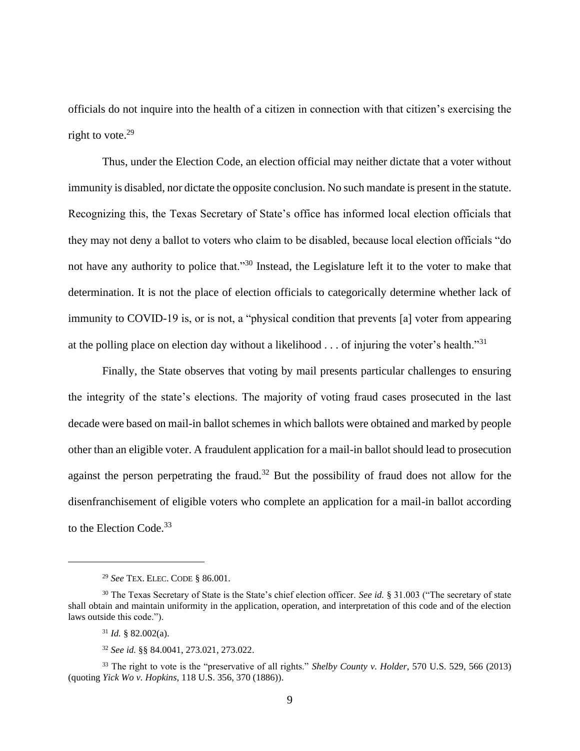officials do not inquire into the health of a citizen in connection with that citizen's exercising the right to vote. $29$ 

Thus, under the Election Code, an election official may neither dictate that a voter without immunity is disabled, nor dictate the opposite conclusion. No such mandate is present in the statute. Recognizing this, the Texas Secretary of State's office has informed local election officials that they may not deny a ballot to voters who claim to be disabled, because local election officials "do not have any authority to police that."<sup>30</sup> Instead, the Legislature left it to the voter to make that determination. It is not the place of election officials to categorically determine whether lack of immunity to COVID-19 is, or is not, a "physical condition that prevents [a] voter from appearing at the polling place on election day without a likelihood  $\ldots$  of injuring the voter's health."<sup>31</sup>

Finally, the State observes that voting by mail presents particular challenges to ensuring the integrity of the state's elections. The majority of voting fraud cases prosecuted in the last decade were based on mail-in ballot schemes in which ballots were obtained and marked by people other than an eligible voter. A fraudulent application for a mail-in ballot should lead to prosecution against the person perpetrating the fraud.<sup>32</sup> But the possibility of fraud does not allow for the disenfranchisement of eligible voters who complete an application for a mail-in ballot according to the Election Code.<sup>33</sup>

<sup>29</sup> *See* TEX. ELEC. CODE § 86.001.

<sup>30</sup> The Texas Secretary of State is the State's chief election officer. *See id.* § 31.003 ("The secretary of state shall obtain and maintain uniformity in the application, operation, and interpretation of this code and of the election laws outside this code.").

 $31$  *Id.* § 82.002(a).

<sup>32</sup> *See id.* §§ 84.0041, 273.021, 273.022.

<sup>33</sup> The right to vote is the "preservative of all rights." *Shelby County v. Holder*, 570 U.S. 529, 566 (2013) (quoting *Yick Wo v. Hopkins*, 118 U.S. 356, 370 (1886)).